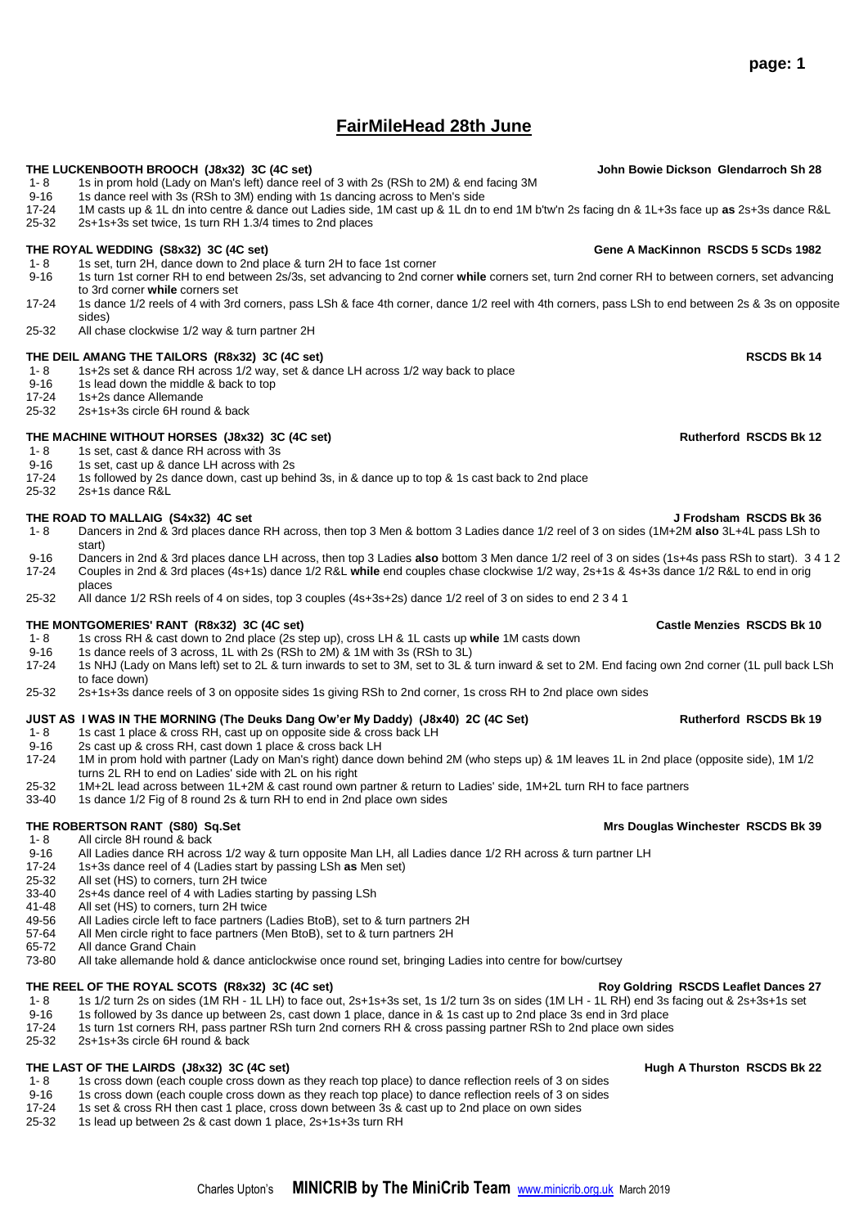# **FairMileHead 28th June**

### **THE LUCKENBOOTH BROOCH (J8x32) 3C (4C set) John Bowie Dickson Glendarroch Sh 28**

- 1- 8 1s in prom hold (Lady on Man's left) dance reel of 3 with 2s (RSh to 2M) & end facing 3M<br>9-16 1s dance reel with 3s (RSh to 3M) ending with 1s dancing across to Men's side
- 9-16 1s dance reel with 3s (RSh to 3M) ending with 1s dancing across to Men's side<br>17-24 1M casts up & 1L dn into centre & dance out Ladies side, 1M cast up & 1L dn to
- 17-24 1M casts up & 1L dn into centre & dance out Ladies side, 1M cast up & 1L dn to end 1M b'tw'n 2s facing dn & 1L+3s face up **as** 2s+3s dance R&L
- 25-32 2s+1s+3s set twice, 1s turn RH 1.3/4 times to 2nd places

## **THE ROYAL WEDDING (S8x32) 3C (4C set) Gene A MacKinnon RSCDS 5 SCDs 1982**

- 1- 8 1s set, turn 2H, dance down to 2nd place & turn 2H to face 1st corner<br>9-16 1s turn 1st corner RH to end between 2s/3s, set advancing to 2nd corn
- 9-16 1s turn 1st corner RH to end between 2s/3s, set advancing to 2nd corner **while** corners set, turn 2nd corner RH to between corners, set advancing to 3rd corner **while** corners set
- 17-24 1s dance 1/2 reels of 4 with 3rd corners, pass LSh & face 4th corner, dance 1/2 reel with 4th corners, pass LSh to end between 2s & 3s on opposite sides)
- 25-32 All chase clockwise 1/2 way & turn partner 2H

# **THE DEIL AMANG THE TAILORS (R8x32) 3C (4C set) RSCDS Bk 14**

- 1- 8 1s+2s set & dance RH across 1/2 way, set & dance LH across 1/2 way back to place<br>9-16 1s lead down the middle & back to top
- 9-16 1s lead down the middle & back to top<br>17-24 1s+2s dance Allemande
- 1s+2s dance Allemande
- 25-32 2s+1s+3s circle 6H round & back

## **THE MACHINE WITHOUT HORSES (J8x32) 3C (4C set) Rutherford RSCDS Bk 12**

- 1- 8 1s set, cast & dance RH across with 3s
- 9-16 1s set, cast up & dance LH across with 2s<br>17-24 1s followed by 2s dance down, cast up be
- 17-24 1s followed by 2s dance down, cast up behind 3s, in & dance up to top & 1s cast back to 2nd place <br>25-32 2s+1s dance R&L 2s+1s dance R&L

### **THE ROAD TO MALLAIG (S4x32) 4C set J Frodsham RSCDS Bk 36**

- 1- 8 Dancers in 2nd & 3rd places dance RH across, then top 3 Men & bottom 3 Ladies dance 1/2 reel of 3 on sides (1M+2M **also** 3L+4L pass LSh to start)
- 9-16 Dancers in 2nd & 3rd places dance LH across, then top 3 Ladies **also** bottom 3 Men dance 1/2 reel of 3 on sides (1s+4s pass RSh to start). 3 4 1 2 17-24 Couples in 2nd & 3rd places (4s+1s) dance 1/2 R&L **while** end couples chase clockwise 1/2 way, 2s+1s & 4s+3s dance 1/2 R&L to end in orig places
- 25-32 All dance 1/2 RSh reels of 4 on sides, top 3 couples (4s+3s+2s) dance 1/2 reel of 3 on sides to end 2 3 4 1

- **THE MONTGOMERIES' RANT (R8x32) 3C (4C set)**<br>1- 8 1s cross RH & cast down to 2nd place (2s step up). cross LH & 1L casts up while 1M casts down 1- 8 1s cross RH & cast down to 2nd place (2s step up), cross LH & 1L casts up **while** 1M casts down
- 1s dance reels of 3 across, 1L with 2s (RSh to 2M) & 1M with 3s (RSh to 3L)
- 17-24 1s NHJ (Lady on Mans left) set to 2L & turn inwards to set to 3M, set to 3L & turn inward & set to 2M. End facing own 2nd corner (1L pull back LSh to face down)
- 25-32 2s+1s+3s dance reels of 3 on opposite sides 1s giving RSh to 2nd corner, 1s cross RH to 2nd place own sides

# **JUST AS I WAS IN THE MORNING (The Deuks Dang Ow'er My Daddy) (J8x40) 2C (4C Set) Rutherford RSCDS Bk 19**<br>1- 8 1s cast 1 place & cross RH. cast up on opposite side & cross back LH

- 1s cast 1 place & cross RH, cast up on opposite side & cross back LH
- 9-16 2s cast up & cross RH, cast down 1 place & cross back LH
- 17-24 1M in prom hold with partner (Lady on Man's right) dance down behind 2M (who steps up) & 1M leaves 1L in 2nd place (opposite side), 1M 1/2 turns 2L RH to end on Ladies' side with 2L on his right
- 25-32 1M+2L lead across between 1L+2M & cast round own partner & return to Ladies' side, 1M+2L turn RH to face partners
- 33-40 1s dance 1/2 Fig of 8 round 2s & turn RH to end in 2nd place own sides

# **THE ROBERTSON RANT (S80) Sq.Set Mrs Douglas Winchester RSCDS Bk 39**

- 1- 8 All circle 8H round & back
- 9-16 All Ladies dance RH across 1/2 way & turn opposite Man LH, all Ladies dance 1/2 RH across & turn partner LH<br>17-24 1s+3s dance reel of 4 (Ladies start by passing LSh as Men set)
- 17-24 1s+3s dance reel of 4 (Ladies start by passing LSh **as** Men set)
- 25-32 All set (HS) to corners, turn 2H twice
- 33-40 2s+4s dance reel of 4 with Ladies starting by passing LSh
- 41-48 All set (HS) to corners, turn 2H twice<br>49-56 All Ladies circle left to face partners (
- All Ladies circle left to face partners (Ladies BtoB), set to & turn partners 2H
- 57-64 All Men circle right to face partners (Men BtoB), set to & turn partners 2H
- 65-72 All dance Grand Chain
- 73-80 All take allemande hold & dance anticlockwise once round set, bringing Ladies into centre for bow/curtsey

## **THE REEL OF THE ROYAL SCOTS (R8x32) 3C (4C set) Roy Goldring RSCDS Leaflet Dances 27**

- 1- 8 1s 1/2 turn 2s on sides (1M RH 1L LH) to face out, 2s+1s+3s set, 1s 1/2 turn 3s on sides (1M LH 1L RH) end 3s facing out & 2s+3s+1s set<br>9-16 1s followed by 3s dance up between 2s, cast down 1 place, dance in & 1s
- 9-16 1s followed by 3s dance up between 2s, cast down 1 place, dance in & 1s cast up to 2nd place 3s end in 3rd place<br>17-24 1s turn 1st corners RH, pass partner RSh turn 2nd corners RH & cross passing partner RSh to 2nd pl
- 1s turn 1st corners RH, pass partner RSh turn 2nd corners RH & cross passing partner RSh to 2nd place own sides 25-32 2s+1s+3s circle 6H round & back

- **THE LAST OF THE LAIRDS (J8x32) 3C (4C set)**<br>1-8 1s cross down (each couple cross down as they reach top place) to dance reflection reels of 3 on sides 1s cross down (each couple cross down as they reach top place) to dance reflection reels of 3 on sides
- 
- 9-16 1s cross down (each couple cross down as they reach top place) to dance reflection reels of 3 on sides<br>17-24 1s set & cross RH then cast 1 place, cross down between 3s & cast up to 2nd place on own sides 17-24 1s set & cross RH then cast 1 place, cross down between 3s & cast up to 2nd place on own sides<br>25-32 1s lead up between 2s & cast down 1 place, 2s+1s+3s turn RH
- 25-32 1s lead up between 2s & cast down 1 place, 2s+1s+3s turn RH

# **page: 1**